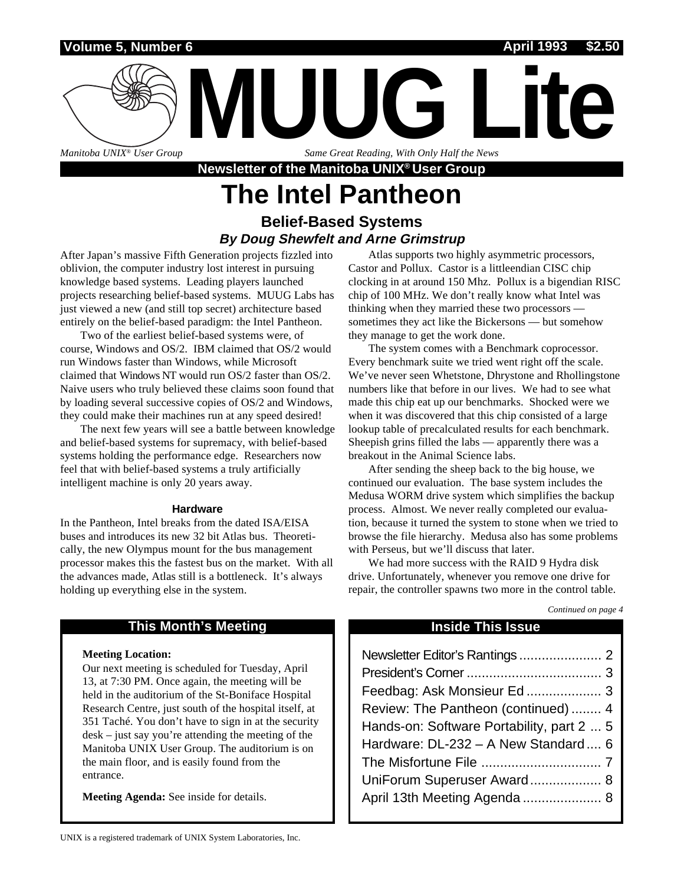### **Volume 5, Number 6 April 1993 \$2.50**

*Manitoba UNIX® User Group*

*Same Great Reading, With Only Half the News*

**Newsletter of the Manitoba UNIX® User Group**

**MUUG Lite**

## **The Intel Pantheon Belief-Based Systems**

### **By Doug Shewfelt and Arne Grimstrup**

After Japan's massive Fifth Generation projects fizzled into oblivion, the computer industry lost interest in pursuing knowledge based systems. Leading players launched projects researching belief-based systems. MUUG Labs has just viewed a new (and still top secret) architecture based entirely on the belief-based paradigm: the Intel Pantheon.

Two of the earliest belief-based systems were, of course, Windows and OS/2. IBM claimed that OS/2 would run Windows faster than Windows, while Microsoft claimed that Windows NT would run OS/2 faster than OS/2. Naive users who truly believed these claims soon found that by loading several successive copies of OS/2 and Windows, they could make their machines run at any speed desired!

The next few years will see a battle between knowledge and belief-based systems for supremacy, with belief-based systems holding the performance edge. Researchers now feel that with belief-based systems a truly artificially intelligent machine is only 20 years away.

### **Hardware**

In the Pantheon, Intel breaks from the dated ISA/EISA buses and introduces its new 32 bit Atlas bus. Theoretically, the new Olympus mount for the bus management processor makes this the fastest bus on the market. With all the advances made, Atlas still is a bottleneck. It's always holding up everything else in the system.

### **This Month's Meeting Inside This Issue**

### **Meeting Location:**

Our next meeting is scheduled for Tuesday, April 13, at 7:30 PM. Once again, the meeting will be held in the auditorium of the St-Boniface Hospital Research Centre, just south of the hospital itself, at 351 Taché. You don't have to sign in at the security desk – just say you're attending the meeting of the Manitoba UNIX User Group. The auditorium is on the main floor, and is easily found from the entrance.

**Meeting Agenda:** See inside for details.

Atlas supports two highly asymmetric processors, Castor and Pollux. Castor is a littleendian CISC chip clocking in at around 150 Mhz. Pollux is a bigendian RISC chip of 100 MHz. We don't really know what Intel was thinking when they married these two processors sometimes they act like the Bickersons — but somehow they manage to get the work done.

The system comes with a Benchmark coprocessor. Every benchmark suite we tried went right off the scale. We've never seen Whetstone, Dhrystone and Rhollingstone numbers like that before in our lives. We had to see what made this chip eat up our benchmarks. Shocked were we when it was discovered that this chip consisted of a large lookup table of precalculated results for each benchmark. Sheepish grins filled the labs — apparently there was a breakout in the Animal Science labs.

After sending the sheep back to the big house, we continued our evaluation. The base system includes the Medusa WORM drive system which simplifies the backup process. Almost. We never really completed our evaluation, because it turned the system to stone when we tried to browse the file hierarchy. Medusa also has some problems with Perseus, but we'll discuss that later.

We had more success with the RAID 9 Hydra disk drive. Unfortunately, whenever you remove one drive for repair, the controller spawns two more in the control table.

### *Continued on page 4*

| Feedbag: Ask Monsieur Ed 3                |
|-------------------------------------------|
| Review: The Pantheon (continued)  4       |
| Hands-on: Software Portability, part 2  5 |
| Hardware: DL-232 - A New Standard  6      |
|                                           |
| UniForum Superuser Award 8                |
| April 13th Meeting Agenda  8              |
|                                           |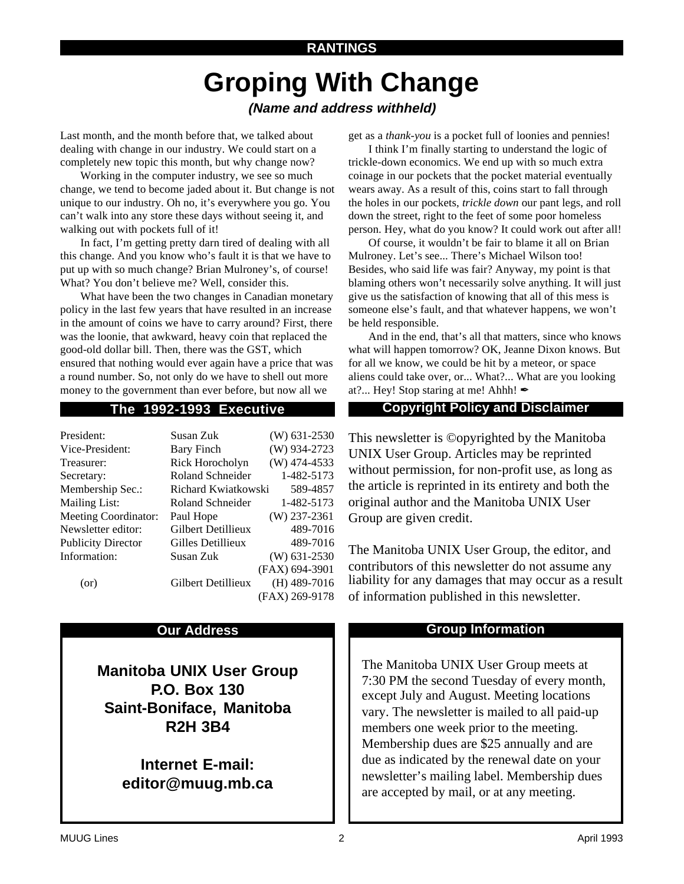### **RANTINGS**

# **Groping With Change**

### **(Name and address withheld)**

Last month, and the month before that, we talked about dealing with change in our industry. We could start on a completely new topic this month, but why change now?

Working in the computer industry, we see so much change, we tend to become jaded about it. But change is not unique to our industry. Oh no, it's everywhere you go. You can't walk into any store these days without seeing it, and walking out with pockets full of it!

In fact, I'm getting pretty darn tired of dealing with all this change. And you know who's fault it is that we have to put up with so much change? Brian Mulroney's, of course! What? You don't believe me? Well, consider this.

What have been the two changes in Canadian monetary policy in the last few years that have resulted in an increase in the amount of coins we have to carry around? First, there was the loonie, that awkward, heavy coin that replaced the good-old dollar bill. Then, there was the GST, which ensured that nothing would ever again have a price that was a round number. So, not only do we have to shell out more money to the government than ever before, but now all we

| President:                  | Susan Zuk           | $(W)$ 631-2530 |
|-----------------------------|---------------------|----------------|
| Vice-President:             | <b>Bary Finch</b>   | $(W)$ 934-2723 |
| Treasurer:                  | Rick Horocholyn     | $(W)$ 474-4533 |
| Secretary:                  | Roland Schneider    | 1-482-5173     |
| Membership Sec.:            | Richard Kwiatkowski | 589-4857       |
| <b>Mailing List:</b>        | Roland Schneider    | 1-482-5173     |
| <b>Meeting Coordinator:</b> | Paul Hope           | $(W)$ 237-2361 |
| Newsletter editor:          | Gilbert Detillieux  | 489-7016       |
| <b>Publicity Director</b>   | Gilles Detillieux   | 489-7016       |
| Information:                | Susan Zuk           | $(W)$ 631-2530 |
|                             |                     | (FAX) 694-3901 |
| (or)                        | Gilbert Detillieux  | $(H)$ 489-7016 |
|                             |                     | (FAX) 269-9178 |

**Manitoba UNIX User Group P.O. Box 130 Saint-Boniface, Manitoba R2H 3B4**

> **Internet E-mail: editor@muug.mb.ca**

get as a *thank-you* is a pocket full of loonies and pennies!

I think I'm finally starting to understand the logic of trickle-down economics. We end up with so much extra coinage in our pockets that the pocket material eventually wears away. As a result of this, coins start to fall through the holes in our pockets, *trickle down* our pant legs, and roll down the street, right to the feet of some poor homeless person. Hey, what do you know? It could work out after all!

Of course, it wouldn't be fair to blame it all on Brian Mulroney. Let's see... There's Michael Wilson too! Besides, who said life was fair? Anyway, my point is that blaming others won't necessarily solve anything. It will just give us the satisfaction of knowing that all of this mess is someone else's fault, and that whatever happens, we won't be held responsible.

And in the end, that's all that matters, since who knows what will happen tomorrow? OK, Jeanne Dixon knows. But for all we know, we could be hit by a meteor, or space aliens could take over, or... What?... What are you looking at?... Hey! Stop staring at me! Ahhh!  $\triangle$ 

### **The 1992-1993 Executive Copyright Policy and Disclaimer**

This newsletter is ©opyrighted by the Manitoba UNIX User Group. Articles may be reprinted without permission, for non-profit use, as long as the article is reprinted in its entirety and both the original author and the Manitoba UNIX User Group are given credit.

The Manitoba UNIX User Group, the editor, and contributors of this newsletter do not assume any liability for any damages that may occur as a result of information published in this newsletter.

### **Our Address Community Community Community Community Community Community Community Community Community Community**

The Manitoba UNIX User Group meets at 7:30 PM the second Tuesday of every month, except July and August. Meeting locations vary. The newsletter is mailed to all paid-up members one week prior to the meeting. Membership dues are \$25 annually and are due as indicated by the renewal date on your newsletter's mailing label. Membership dues are accepted by mail, or at any meeting.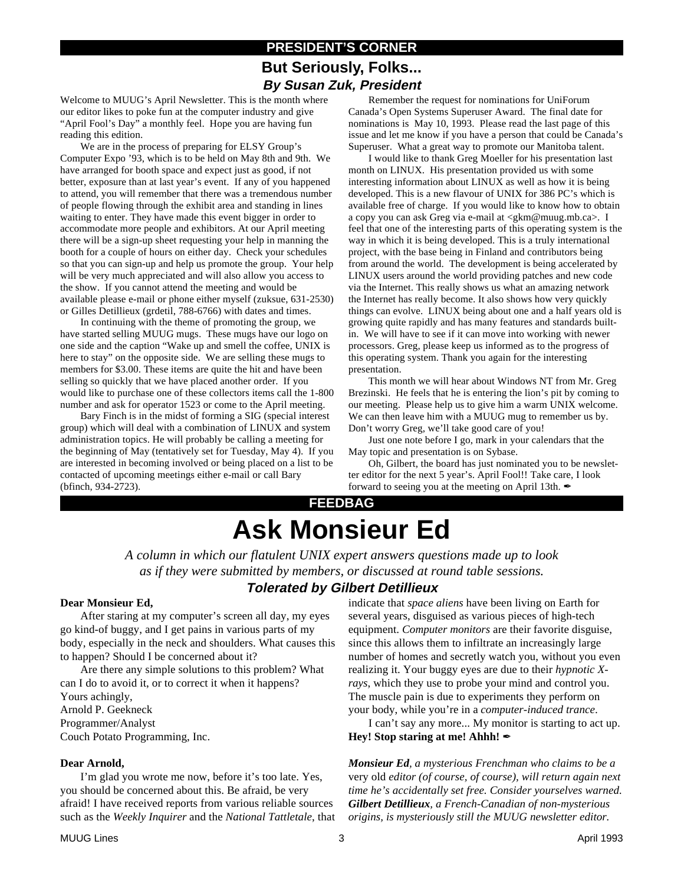### **PRESIDENT'S CORNER But Seriously, Folks... By Susan Zuk, President**

Welcome to MUUG's April Newsletter. This is the month where our editor likes to poke fun at the computer industry and give "April Fool's Day" a monthly feel. Hope you are having fun reading this edition.

We are in the process of preparing for ELSY Group's Computer Expo '93, which is to be held on May 8th and 9th. We have arranged for booth space and expect just as good, if not better, exposure than at last year's event. If any of you happened to attend, you will remember that there was a tremendous number of people flowing through the exhibit area and standing in lines waiting to enter. They have made this event bigger in order to accommodate more people and exhibitors. At our April meeting there will be a sign-up sheet requesting your help in manning the booth for a couple of hours on either day. Check your schedules so that you can sign-up and help us promote the group. Your help will be very much appreciated and will also allow you access to the show. If you cannot attend the meeting and would be available please e-mail or phone either myself (zuksue, 631-2530) or Gilles Detillieux (grdetil, 788-6766) with dates and times.

In continuing with the theme of promoting the group, we have started selling MUUG mugs. These mugs have our logo on one side and the caption "Wake up and smell the coffee, UNIX is here to stay" on the opposite side. We are selling these mugs to members for \$3.00. These items are quite the hit and have been selling so quickly that we have placed another order. If you would like to purchase one of these collectors items call the 1-800 number and ask for operator 1523 or come to the April meeting.

Bary Finch is in the midst of forming a SIG (special interest group) which will deal with a combination of LINUX and system administration topics. He will probably be calling a meeting for the beginning of May (tentatively set for Tuesday, May 4). If you are interested in becoming involved or being placed on a list to be contacted of upcoming meetings either e-mail or call Bary (bfinch, 934-2723).

Remember the request for nominations for UniForum Canada's Open Systems Superuser Award. The final date for nominations is May 10, 1993. Please read the last page of this issue and let me know if you have a person that could be Canada's Superuser. What a great way to promote our Manitoba talent.

I would like to thank Greg Moeller for his presentation last month on LINUX. His presentation provided us with some interesting information about LINUX as well as how it is being developed. This is a new flavour of UNIX for 386 PC's which is available free of charge. If you would like to know how to obtain a copy you can ask Greg via e-mail at <gkm@muug.mb.ca>. I feel that one of the interesting parts of this operating system is the way in which it is being developed. This is a truly international project, with the base being in Finland and contributors being from around the world. The development is being accelerated by LINUX users around the world providing patches and new code via the Internet. This really shows us what an amazing network the Internet has really become. It also shows how very quickly things can evolve. LINUX being about one and a half years old is growing quite rapidly and has many features and standards builtin. We will have to see if it can move into working with newer processors. Greg, please keep us informed as to the progress of this operating system. Thank you again for the interesting presentation.

This month we will hear about Windows NT from Mr. Greg Brezinski. He feels that he is entering the lion's pit by coming to our meeting. Please help us to give him a warm UNIX welcome. We can then leave him with a MUUG mug to remember us by. Don't worry Greg, we'll take good care of you!

Just one note before I go, mark in your calendars that the May topic and presentation is on Sybase.

Oh, Gilbert, the board has just nominated you to be newsletter editor for the next 5 year's. April Fool!! Take care, I look forward to seeing you at the meeting on April 13th.  $\blacktriangle$ 

## **FEEDBAG Ask Monsieur Ed**

*A column in which our flatulent UNIX expert answers questions made up to look as if they were submitted by members, or discussed at round table sessions.*

### **Tolerated by Gilbert Detillieux**

### **Dear Monsieur Ed,**

After staring at my computer's screen all day, my eyes go kind-of buggy, and I get pains in various parts of my body, especially in the neck and shoulders. What causes this to happen? Should I be concerned about it?

Are there any simple solutions to this problem? What can I do to avoid it, or to correct it when it happens? Yours achingly, Arnold P. Geekneck Programmer/Analyst Couch Potato Programming, Inc.

### **Dear Arnold,**

I'm glad you wrote me now, before it's too late. Yes, you should be concerned about this. Be afraid, be very afraid! I have received reports from various reliable sources such as the *Weekly Inquirer* and the *National Tattletale*, that indicate that *space aliens* have been living on Earth for several years, disguised as various pieces of high-tech equipment. *Computer monitors* are their favorite disguise, since this allows them to infiltrate an increasingly large number of homes and secretly watch you, without you even realizing it. Your buggy eyes are due to their *hypnotic Xrays*, which they use to probe your mind and control you. The muscle pain is due to experiments they perform on your body, while you're in a *computer-induced trance*.

I can't say any more... My monitor is starting to act up. **Hey! Stop staring at me! Ahhh!** 

*Monsieur Ed, a mysterious Frenchman who claims to be a* very old *editor (of course, of course), will return again next time he's accidentally set free. Consider yourselves warned. Gilbert Detillieux, a French-Canadian of non-mysterious origins, is mysteriously still the MUUG newsletter editor.*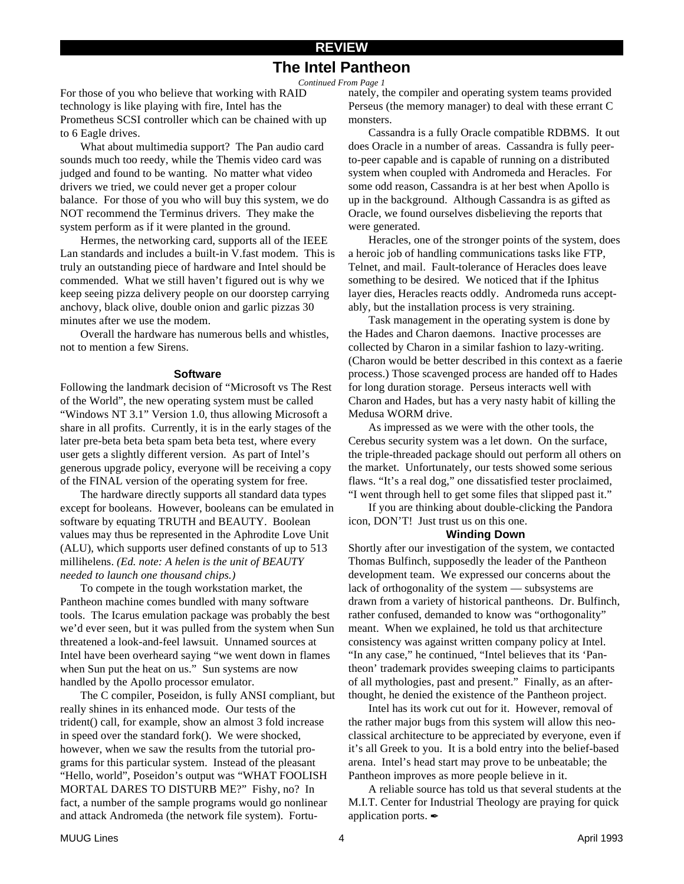### **REVIEW The Intel Pantheon**

*Continued From Page 1*

For those of you who believe that working with RAID technology is like playing with fire, Intel has the Prometheus SCSI controller which can be chained with up to 6 Eagle drives.

What about multimedia support? The Pan audio card sounds much too reedy, while the Themis video card was judged and found to be wanting. No matter what video drivers we tried, we could never get a proper colour balance. For those of you who will buy this system, we do NOT recommend the Terminus drivers. They make the system perform as if it were planted in the ground.

Hermes, the networking card, supports all of the IEEE Lan standards and includes a built-in V.fast modem. This is truly an outstanding piece of hardware and Intel should be commended. What we still haven't figured out is why we keep seeing pizza delivery people on our doorstep carrying anchovy, black olive, double onion and garlic pizzas 30 minutes after we use the modem.

Overall the hardware has numerous bells and whistles, not to mention a few Sirens.

### **Software**

Following the landmark decision of "Microsoft vs The Rest of the World", the new operating system must be called "Windows NT 3.1" Version 1.0, thus allowing Microsoft a share in all profits. Currently, it is in the early stages of the later pre-beta beta beta spam beta beta test, where every user gets a slightly different version. As part of Intel's generous upgrade policy, everyone will be receiving a copy of the FINAL version of the operating system for free.

The hardware directly supports all standard data types except for booleans. However, booleans can be emulated in software by equating TRUTH and BEAUTY. Boolean values may thus be represented in the Aphrodite Love Unit (ALU), which supports user defined constants of up to 513 millihelens. *(Ed. note: A helen is the unit of BEAUTY needed to launch one thousand chips.)*

To compete in the tough workstation market, the Pantheon machine comes bundled with many software tools. The Icarus emulation package was probably the best we'd ever seen, but it was pulled from the system when Sun threatened a look-and-feel lawsuit. Unnamed sources at Intel have been overheard saying "we went down in flames when Sun put the heat on us." Sun systems are now handled by the Apollo processor emulator.

The C compiler, Poseidon, is fully ANSI compliant, but really shines in its enhanced mode. Our tests of the trident() call, for example, show an almost 3 fold increase in speed over the standard fork(). We were shocked, however, when we saw the results from the tutorial programs for this particular system. Instead of the pleasant "Hello, world", Poseidon's output was "WHAT FOOLISH MORTAL DARES TO DISTURB ME?" Fishy, no? In fact, a number of the sample programs would go nonlinear and attack Andromeda (the network file system). Fortunately, the compiler and operating system teams provided Perseus (the memory manager) to deal with these errant C monsters.

Cassandra is a fully Oracle compatible RDBMS. It out does Oracle in a number of areas. Cassandra is fully peerto-peer capable and is capable of running on a distributed system when coupled with Andromeda and Heracles. For some odd reason, Cassandra is at her best when Apollo is up in the background. Although Cassandra is as gifted as Oracle, we found ourselves disbelieving the reports that were generated.

Heracles, one of the stronger points of the system, does a heroic job of handling communications tasks like FTP, Telnet, and mail. Fault-tolerance of Heracles does leave something to be desired. We noticed that if the Iphitus layer dies, Heracles reacts oddly. Andromeda runs acceptably, but the installation process is very straining.

Task management in the operating system is done by the Hades and Charon daemons. Inactive processes are collected by Charon in a similar fashion to lazy-writing. (Charon would be better described in this context as a faerie process.) Those scavenged process are handed off to Hades for long duration storage. Perseus interacts well with Charon and Hades, but has a very nasty habit of killing the Medusa WORM drive.

As impressed as we were with the other tools, the Cerebus security system was a let down. On the surface, the triple-threaded package should out perform all others on the market. Unfortunately, our tests showed some serious flaws. "It's a real dog," one dissatisfied tester proclaimed, "I went through hell to get some files that slipped past it."

If you are thinking about double-clicking the Pandora icon, DON'T! Just trust us on this one.

### **Winding Down**

Shortly after our investigation of the system, we contacted Thomas Bulfinch, supposedly the leader of the Pantheon development team. We expressed our concerns about the lack of orthogonality of the system — subsystems are drawn from a variety of historical pantheons. Dr. Bulfinch, rather confused, demanded to know was "orthogonality" meant. When we explained, he told us that architecture consistency was against written company policy at Intel. "In any case," he continued, "Intel believes that its 'Pantheon' trademark provides sweeping claims to participants of all mythologies, past and present." Finally, as an afterthought, he denied the existence of the Pantheon project.

Intel has its work cut out for it. However, removal of the rather major bugs from this system will allow this neoclassical architecture to be appreciated by everyone, even if it's all Greek to you. It is a bold entry into the belief-based arena. Intel's head start may prove to be unbeatable; the Pantheon improves as more people believe in it.

A reliable source has told us that several students at the M.I.T. Center for Industrial Theology are praying for quick application ports.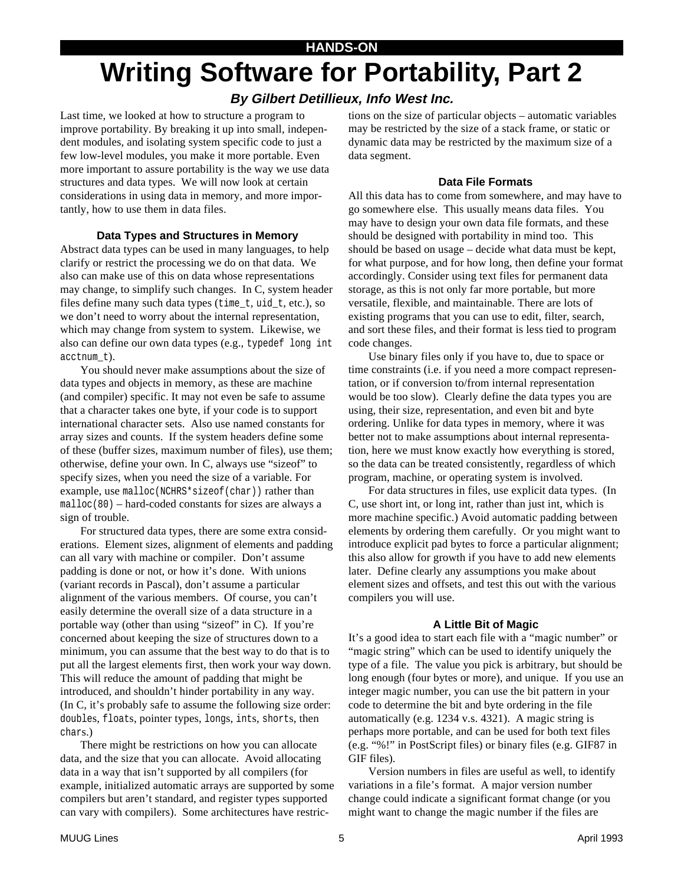# **Writing Software for Portability, Part 2**

### **By Gilbert Detillieux, Info West Inc.**

Last time, we looked at how to structure a program to improve portability. By breaking it up into small, independent modules, and isolating system specific code to just a few low-level modules, you make it more portable. Even more important to assure portability is the way we use data structures and data types. We will now look at certain considerations in using data in memory, and more importantly, how to use them in data files.

### **Data Types and Structures in Memory**

Abstract data types can be used in many languages, to help clarify or restrict the processing we do on that data. We also can make use of this on data whose representations may change, to simplify such changes. In C, system header files define many such data types (time\_t, uid\_t, etc.), so we don't need to worry about the internal representation, which may change from system to system. Likewise, we also can define our own data types (e.g., typedef long int acctnum\_t).

You should never make assumptions about the size of data types and objects in memory, as these are machine (and compiler) specific. It may not even be safe to assume that a character takes one byte, if your code is to support international character sets. Also use named constants for array sizes and counts. If the system headers define some of these (buffer sizes, maximum number of files), use them; otherwise, define your own. In C, always use "sizeof" to specify sizes, when you need the size of a variable. For example, use malloc(NCHRS\*sizeof(char)) rather than  $m$ alloc(80) – hard-coded constants for sizes are always a sign of trouble.

For structured data types, there are some extra considerations. Element sizes, alignment of elements and padding can all vary with machine or compiler. Don't assume padding is done or not, or how it's done. With unions (variant records in Pascal), don't assume a particular alignment of the various members. Of course, you can't easily determine the overall size of a data structure in a portable way (other than using "sizeof" in C). If you're concerned about keeping the size of structures down to a minimum, you can assume that the best way to do that is to put all the largest elements first, then work your way down. This will reduce the amount of padding that might be introduced, and shouldn't hinder portability in any way. (In C, it's probably safe to assume the following size order: doubles, floats, pointer types, longs, ints, shorts, then chars.)

There might be restrictions on how you can allocate data, and the size that you can allocate. Avoid allocating data in a way that isn't supported by all compilers (for example, initialized automatic arrays are supported by some compilers but aren't standard, and register types supported can vary with compilers). Some architectures have restrictions on the size of particular objects – automatic variables may be restricted by the size of a stack frame, or static or dynamic data may be restricted by the maximum size of a data segment.

### **Data File Formats**

All this data has to come from somewhere, and may have to go somewhere else. This usually means data files. You may have to design your own data file formats, and these should be designed with portability in mind too. This should be based on usage – decide what data must be kept, for what purpose, and for how long, then define your format accordingly. Consider using text files for permanent data storage, as this is not only far more portable, but more versatile, flexible, and maintainable. There are lots of existing programs that you can use to edit, filter, search, and sort these files, and their format is less tied to program code changes.

Use binary files only if you have to, due to space or time constraints (i.e. if you need a more compact representation, or if conversion to/from internal representation would be too slow). Clearly define the data types you are using, their size, representation, and even bit and byte ordering. Unlike for data types in memory, where it was better not to make assumptions about internal representation, here we must know exactly how everything is stored, so the data can be treated consistently, regardless of which program, machine, or operating system is involved.

For data structures in files, use explicit data types. (In C, use short int, or long int, rather than just int, which is more machine specific.) Avoid automatic padding between elements by ordering them carefully. Or you might want to introduce explicit pad bytes to force a particular alignment; this also allow for growth if you have to add new elements later. Define clearly any assumptions you make about element sizes and offsets, and test this out with the various compilers you will use.

### **A Little Bit of Magic**

It's a good idea to start each file with a "magic number" or "magic string" which can be used to identify uniquely the type of a file. The value you pick is arbitrary, but should be long enough (four bytes or more), and unique. If you use an integer magic number, you can use the bit pattern in your code to determine the bit and byte ordering in the file automatically (e.g. 1234 v.s. 4321). A magic string is perhaps more portable, and can be used for both text files (e.g. "%!" in PostScript files) or binary files (e.g. GIF87 in GIF files).

Version numbers in files are useful as well, to identify variations in a file's format. A major version number change could indicate a significant format change (or you might want to change the magic number if the files are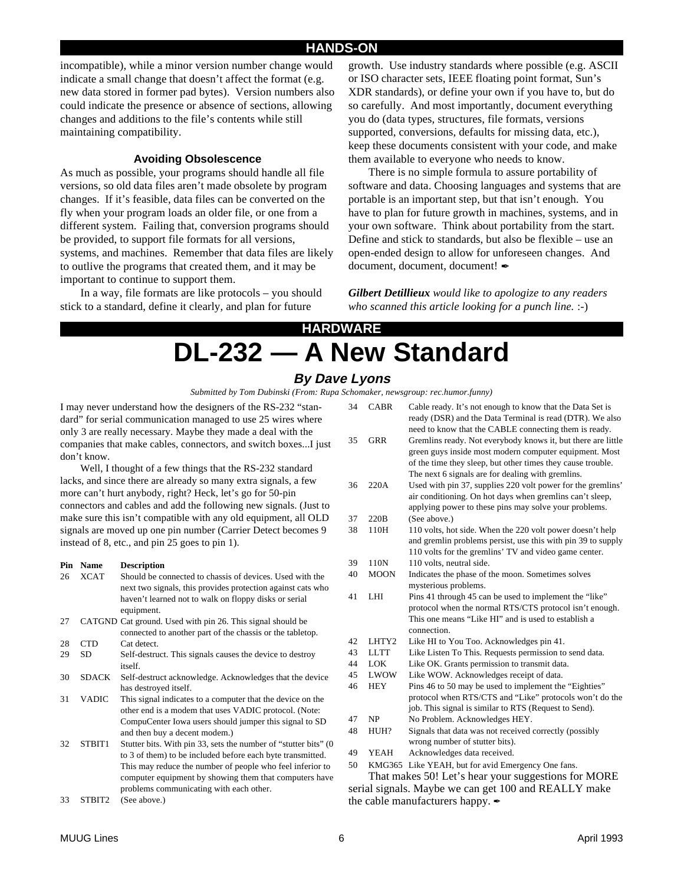### **HANDS-ON**

incompatible), while a minor version number change would indicate a small change that doesn't affect the format (e.g. new data stored in former pad bytes). Version numbers also could indicate the presence or absence of sections, allowing changes and additions to the file's contents while still maintaining compatibility.

### **Avoiding Obsolescence**

As much as possible, your programs should handle all file versions, so old data files aren't made obsolete by program changes. If it's feasible, data files can be converted on the fly when your program loads an older file, or one from a different system. Failing that, conversion programs should be provided, to support file formats for all versions, systems, and machines. Remember that data files are likely to outlive the programs that created them, and it may be important to continue to support them.

In a way, file formats are like protocols – you should stick to a standard, define it clearly, and plan for future

growth. Use industry standards where possible (e.g. ASCII or ISO character sets, IEEE floating point format, Sun's XDR standards), or define your own if you have to, but do so carefully. And most importantly, document everything you do (data types, structures, file formats, versions supported, conversions, defaults for missing data, etc.), keep these documents consistent with your code, and make them available to everyone who needs to know.

There is no simple formula to assure portability of software and data. Choosing languages and systems that are portable is an important step, but that isn't enough. You have to plan for future growth in machines, systems, and in your own software. Think about portability from the start. Define and stick to standards, but also be flexible – use an open-ended design to allow for unforeseen changes. And document, document, document!

*Gilbert Detillieux would like to apologize to any readers who scanned this article looking for a punch line.* :-)

## **HARDWARE DL-232 — A New Standard**

### **By Dave Lyons**

*Submitted by Tom Dubinski (From: Rupa Schomaker, newsgroup: rec.humor.funny)*

I may never understand how the designers of the RS-232 "standard" for serial communication managed to use 25 wires where only 3 are really necessary. Maybe they made a deal with the companies that make cables, connectors, and switch boxes...I just don't know.

Well, I thought of a few things that the RS-232 standard lacks, and since there are already so many extra signals, a few more can't hurt anybody, right? Heck, let's go for 50-pin connectors and cables and add the following new signals. (Just to make sure this isn't compatible with any old equipment, all OLD signals are moved up one pin number (Carrier Detect becomes 9 instead of 8, etc., and pin 25 goes to pin 1).

### **Pin Name Description**

| 26 | <b>XCAT</b>  | Should be connected to chassis of devices. Used with the<br>next two signals, this provides protection against cats who |
|----|--------------|-------------------------------------------------------------------------------------------------------------------------|
|    |              | haven't learned not to walk on floppy disks or serial                                                                   |
| 27 |              | equipment.<br>CATGND Cat ground. Used with pin 26. This signal should be                                                |
|    |              | connected to another part of the chassis or the tabletop.                                                               |
| 28 | <b>CTD</b>   | Cat detect.                                                                                                             |
| 29 | SD           | Self-destruct. This signals causes the device to destroy<br>itself.                                                     |
| 30 | <b>SDACK</b> | Self-destruct acknowledge. Acknowledges that the device<br>has destroyed itself.                                        |
| 31 | <b>VADIC</b> | This signal indicates to a computer that the device on the                                                              |
|    |              | other end is a modem that uses VADIC protocol. (Note:                                                                   |
|    |              | CompuCenter Iowa users should jumper this signal to SD                                                                  |
|    |              | and then buy a decent modem.)                                                                                           |
| 32 | STBIT1       | Stutter bits. With pin 33, sets the number of "stutter bits" (0                                                         |
|    |              | to 3 of them) to be included before each byte transmitted.                                                              |
|    |              | This may reduce the number of people who feel inferior to                                                               |
|    |              | computer equipment by showing them that computers have                                                                  |
|    |              | problems communicating with each other.                                                                                 |
| 33 | STBIT2       | (See above.)                                                                                                            |

|                                                      |             | schömaker, newsgroup. rec.numor.junny/                                                                                                                                         |  |  |
|------------------------------------------------------|-------------|--------------------------------------------------------------------------------------------------------------------------------------------------------------------------------|--|--|
| 34                                                   | <b>CABR</b> | Cable ready. It's not enough to know that the Data Set is<br>ready (DSR) and the Data Terminal is read (DTR). We also<br>need to know that the CABLE connecting them is ready. |  |  |
| 35                                                   | <b>GRR</b>  | Gremlins ready. Not everybody knows it, but there are little<br>green guys inside most modern computer equipment. Most                                                         |  |  |
|                                                      |             | of the time they sleep, but other times they cause trouble.<br>The next 6 signals are for dealing with gremlins.                                                               |  |  |
| 36                                                   | 220A        | Used with pin 37, supplies 220 volt power for the gremlins'                                                                                                                    |  |  |
|                                                      |             | air conditioning. On hot days when gremlins can't sleep,                                                                                                                       |  |  |
|                                                      |             | applying power to these pins may solve your problems.                                                                                                                          |  |  |
| 37                                                   | 220B        | (See above.)                                                                                                                                                                   |  |  |
| 38                                                   | 110H        | 110 volts, hot side. When the 220 volt power doesn't help                                                                                                                      |  |  |
|                                                      |             | and gremlin problems persist, use this with pin 39 to supply                                                                                                                   |  |  |
|                                                      |             | 110 volts for the gremlins' TV and video game center.                                                                                                                          |  |  |
| 39                                                   | 110N        | 110 volts, neutral side.                                                                                                                                                       |  |  |
| 40                                                   | <b>MOON</b> | Indicates the phase of the moon. Sometimes solves                                                                                                                              |  |  |
| 41                                                   |             | mysterious problems.                                                                                                                                                           |  |  |
|                                                      | <b>LHI</b>  | Pins 41 through 45 can be used to implement the "like"<br>protocol when the normal RTS/CTS protocol isn't enough.                                                              |  |  |
|                                                      |             | This one means "Like HI" and is used to establish a                                                                                                                            |  |  |
|                                                      |             | connection.                                                                                                                                                                    |  |  |
| 42                                                   | LHTY2       | Like HI to You Too. Acknowledges pin 41.                                                                                                                                       |  |  |
| 43                                                   | <b>LLTT</b> | Like Listen To This. Requests permission to send data.                                                                                                                         |  |  |
| 44                                                   | LOK         | Like OK. Grants permission to transmit data.                                                                                                                                   |  |  |
| 45                                                   | LWOW        | Like WOW. Acknowledges receipt of data.                                                                                                                                        |  |  |
| 46                                                   | HEY         | Pins 46 to 50 may be used to implement the "Eighties"                                                                                                                          |  |  |
|                                                      |             | protocol when RTS/CTS and "Like" protocols won't do the                                                                                                                        |  |  |
|                                                      |             | job. This signal is similar to RTS (Request to Send).                                                                                                                          |  |  |
| 47                                                   | NP          | No Problem. Acknowledges HEY.                                                                                                                                                  |  |  |
| 48                                                   | HUH?        | Signals that data was not received correctly (possibly                                                                                                                         |  |  |
|                                                      |             | wrong number of stutter bits).                                                                                                                                                 |  |  |
| 49                                                   | YEAH        | Acknowledges data received.                                                                                                                                                    |  |  |
| 50                                                   |             | KMG365 Like YEAH, but for avid Emergency One fans.                                                                                                                             |  |  |
| That makes 50! Let's hear your suggestions for MORE  |             |                                                                                                                                                                                |  |  |
| serial signals. Maybe we can get 100 and REALLY make |             |                                                                                                                                                                                |  |  |

the cable manufacturers happy.  $\angle$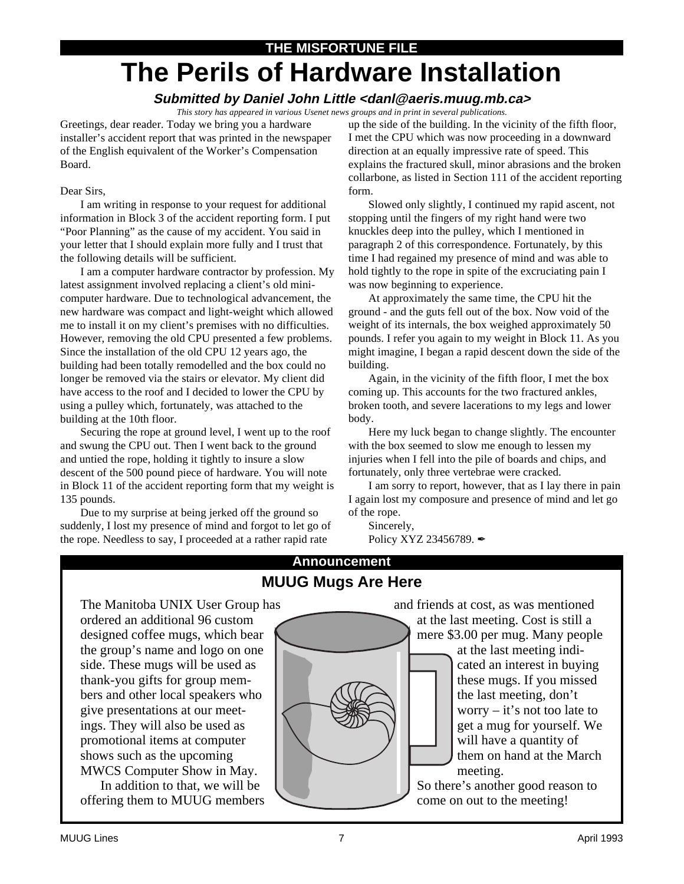# **THE MISFORTUNE FILE The Perils of Hardware Installation**

### **Submitted by Daniel John Little <danl@aeris.muug.mb.ca>**

*This story has appeared in various Usenet news groups and in print in several publications.*

Greetings, dear reader. Today we bring you a hardware installer's accident report that was printed in the newspaper of the English equivalent of the Worker's Compensation Board.

### Dear Sirs,

I am writing in response to your request for additional information in Block 3 of the accident reporting form. I put "Poor Planning" as the cause of my accident. You said in your letter that I should explain more fully and I trust that the following details will be sufficient.

I am a computer hardware contractor by profession. My latest assignment involved replacing a client's old minicomputer hardware. Due to technological advancement, the new hardware was compact and light-weight which allowed me to install it on my client's premises with no difficulties. However, removing the old CPU presented a few problems. Since the installation of the old CPU 12 years ago, the building had been totally remodelled and the box could no longer be removed via the stairs or elevator. My client did have access to the roof and I decided to lower the CPU by using a pulley which, fortunately, was attached to the building at the 10th floor.

Securing the rope at ground level, I went up to the roof and swung the CPU out. Then I went back to the ground and untied the rope, holding it tightly to insure a slow descent of the 500 pound piece of hardware. You will note in Block 11 of the accident reporting form that my weight is 135 pounds.

Due to my surprise at being jerked off the ground so suddenly, I lost my presence of mind and forgot to let go of the rope. Needless to say, I proceeded at a rather rapid rate

up the side of the building. In the vicinity of the fifth floor, I met the CPU which was now proceeding in a downward direction at an equally impressive rate of speed. This explains the fractured skull, minor abrasions and the broken collarbone, as listed in Section 111 of the accident reporting form.

Slowed only slightly, I continued my rapid ascent, not stopping until the fingers of my right hand were two knuckles deep into the pulley, which I mentioned in paragraph 2 of this correspondence. Fortunately, by this time I had regained my presence of mind and was able to hold tightly to the rope in spite of the excruciating pain I was now beginning to experience.

At approximately the same time, the CPU hit the ground - and the guts fell out of the box. Now void of the weight of its internals, the box weighed approximately 50 pounds. I refer you again to my weight in Block 11. As you might imagine, I began a rapid descent down the side of the building.

Again, in the vicinity of the fifth floor, I met the box coming up. This accounts for the two fractured ankles, broken tooth, and severe lacerations to my legs and lower body.

Here my luck began to change slightly. The encounter with the box seemed to slow me enough to lessen my injuries when I fell into the pile of boards and chips, and fortunately, only three vertebrae were cracked.

I am sorry to report, however, that as I lay there in pain I again lost my composure and presence of mind and let go of the rope.

Sincerely,

Policy XYZ 23456789.

### **Announcement MUUG Mugs Are Here**

The Manitoba UNIX User Group has ordered an additional 96 custom designed coffee mugs, which bear the group's name and logo on one side. These mugs will be used as thank-you gifts for group members and other local speakers who give presentations at our meetings. They will also be used as promotional items at computer shows such as the upcoming MWCS Computer Show in May.

In addition to that, we will be offering them to MUUG members



and friends at cost, as was mentioned at the last meeting. Cost is still a mere \$3.00 per mug. Many people at the last meeting indicated an interest in buying these mugs. If you missed the last meeting, don't worry – it's not too late to get a mug for yourself. We will have a quantity of them on hand at the March meeting.

So there's another good reason to come on out to the meeting!